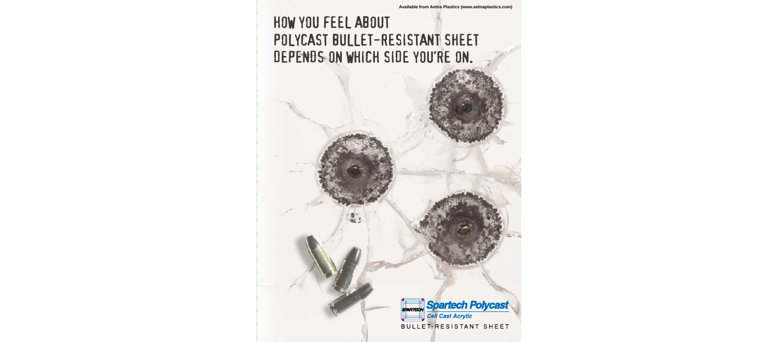# HOW YOU FEEL ABOUT POLYCAST BULLET-RESISTANT SHEET DEPENDS ON WHICH SIDE YOU'RE ON.



**BULLET-RESISTANT SHEET**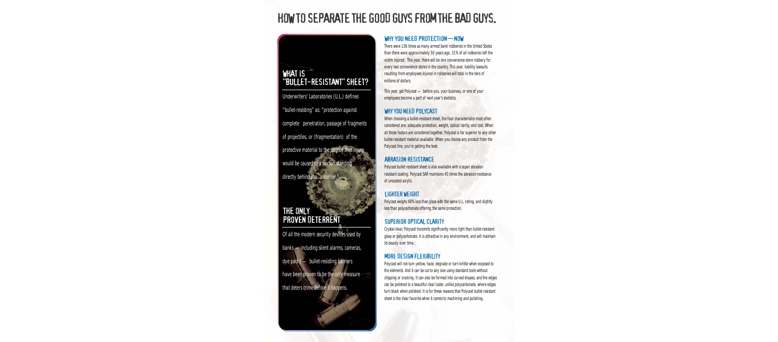# HOW TO SEPARATE THE GOOD GUYS FROM THE BAD GUYS.

## WHAT IS "BULLET-RESISTANT" SHEET?

Underwriters' Laboratories (U.L.) defines "bullet-resisting" as: "protection against complete penetration, passage of fragments of projectiles, or (fragmentation) of the protective material to the degree that injury would be caused to a person standing directly behind the ... barrier."

## THE ONLY PROVEN DETERRENT

Of all the modern security devices used by banks —including silent alarms, cameras, dye packs — bullet-resisting barriers have been proven to be the only measure that deters crime *before* it happens.

## WHY YOU NEED PROTECTION-NOW

There were 136 times as many armed bank robberies in the United States than there were approximately 50 years ago. 31% of all robberies left the victim injured. This year, there will be one convenience-store robbery for every two convenience stores in the country. This year, liability lawsuits resulting from employees injured in robberies will total in the tens of millions of dollars.

This year, get Polycast — before you, your business, or one of your employees become a part of next year's statistics.

### WHY YOU NEED POLYCAST

When choosing a bullet-resistant sheet, the four characteristics most often considered are: adequate protection, weight, optical clarity, and cost. When all those factors are considered together, Polycast is far superior to any other bullet-resistant material available. When you choose any product from the Polycast line, you're getting the best.

### ABRASION RESISTANCE

Polycast bullet resistant sheet is also available with a super abrasion resistant coating. Polycast SAR maintains 45 times the abrasion resistance of uncoated acrylic.

## LIGHTER WEIGHT

Polycast weighs 48% less than glass with the same U.L. rating, and slightly less than polycarbonate offering the same protection.

## SUPERIOR OPTICAL CLARITY

Crystal-clear, Polycast transmits significantly more light than bullet-resistant glass or polycarbonate. It is attractive in any environment, and will maintain its beauty over time.

## MORE DESIGN FLEXIBILITY

Polycast will not turn yellow, haze, degrade or turn brittle when exposed to the elements. And it can be cut to any size using standard tools without chipping or cracking. It can also be formed into curved shapes, and the edges can be polished to a beautiful clear luster, unlike polycarbonate, where edges turn black when polished. It is for these reasons that Polycast bullet resistant sheet is the clear favorite when it comes to machining and polishing.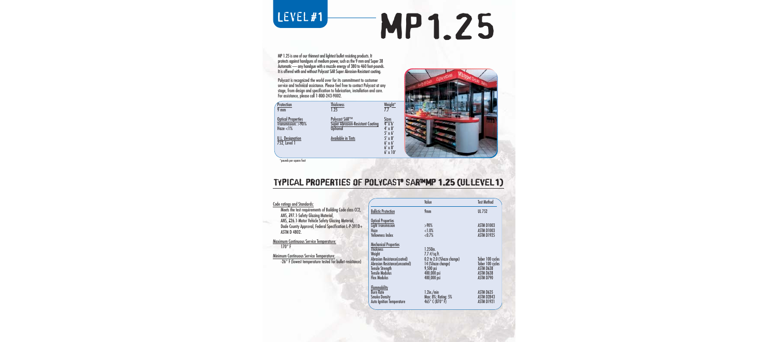# LEVEL#1

# MP1.25

MP 1.25 is one of our thinnest and lightest bullet resisting products. It protects against handguns of medium power, such as the 9 mm and Super 38 Automatic — any handgun with a muzzle energy of 380 to 460 foot-pounds. It is offered with and without Polycast SAR Super Abrasion-Resistant coating.

Polycast is recognized the world over for its commitment to customer service and technical assistance. Please feel free to contact Polycast at any stage, from design and specification to fabrication, installation and care. For assistance, please call 1-800-243-9002.

| Protection<br>9 <sub>mm</sub>                                      | <b>Thickness</b><br>1.25                                                    | Weight*                                                                       |
|--------------------------------------------------------------------|-----------------------------------------------------------------------------|-------------------------------------------------------------------------------|
| <b>Optical Properties</b><br>$Transmission: > 90\%$<br>Haze $<$ 1% | Polycast SAR™<br><b>Super Abrasion-Resistant Coating</b><br><b>Optional</b> | <b>Sizes</b><br>$\overline{4' \times 6'}$<br>$4' \times 8'$<br>$5' \times 6'$ |
| U.L. Designation<br>752, Level 1                                   | <b>Available in Tints</b>                                                   | $5' \times 8'$<br>$6' \times 6'$<br>$6' \times 8'$<br>$6'$ x $10'$            |



\*pounds per square foot

Code ratings and Standards:

Maximum Continuous Service Temperature:

Minimum Continuous Service Temperature:  $-26^\circ$  F (lowest temperature tested for b

#### TYPICAL PROPERTIES OF POLYCAST<sup>®</sup> SAR<sup>MMP</sup> 1.25 (ULLEVEL1)

| ratings and Standards:                                                                                                                                   |                                                                                                                                                                                                        | Value                                                                                                                       | <b>Test Method</b>                                                                 |
|----------------------------------------------------------------------------------------------------------------------------------------------------------|--------------------------------------------------------------------------------------------------------------------------------------------------------------------------------------------------------|-----------------------------------------------------------------------------------------------------------------------------|------------------------------------------------------------------------------------|
| Meets the test requirements of Building Code class CC2,<br>ANS, 297.1-Safety Glazing Material,                                                           | <b>Ballistic Protection</b>                                                                                                                                                                            | 9 <sub>mm</sub>                                                                                                             | <b>UL 752</b>                                                                      |
| ANS, <i>226.1-Motor Vehicle Safety Glazing Material</i> ,<br>Dade County Approval, Federal Specification L-P-391D+<br><b>ASTM D 4802.</b>                | <b>Optical Properties</b><br><b>Light Transmission</b><br>Haze<br><b>Yellowness Index</b>                                                                                                              | $>90\%$<br><1.0%<br>< 0.7%                                                                                                  | <b>ASTM D1003</b><br><b>ASTM D1003</b><br><b>ASTM D1925</b>                        |
| imum Continuous Service Temperature:<br>$170^\circ$ F<br>num Continuous Service Temperature:<br>-26° F (lowest temperature tested for bullet-resistance) | <b>Mechanical Properties</b><br><b>Thickness</b><br>Weight<br>Abrasion Resistance(coated)<br><b>Abrasion Resistance(uncoated)</b><br><b>Tensile Strength</b><br>Tensile Modulus<br><b>Flex Modulus</b> | 1.250in.<br>$7.7$ $\#$ /sq.ft.<br>0.2 to 2.0 (%haze change)<br>14 (%haze change)<br>9,500 psi<br>400,000 psi<br>400,000 psi | Taber 100 cycles<br>Taber 100 cycles<br><b>ASTM D638</b><br>ASTM D638<br>ASTM D790 |
|                                                                                                                                                          | <b>Flammability</b><br><b>Burn Rate</b><br><b>Smoke Density</b><br><b>Auto Ignition Temperature</b>                                                                                                    | $1.2$ in./min<br><b>Max: 8%; Rating: 5%</b><br>465 $^{\circ}$ C (870 $^{\circ}$ F)                                          | ASTM D635<br><b>ASTM D2843</b><br><b>ASTM D1921</b>                                |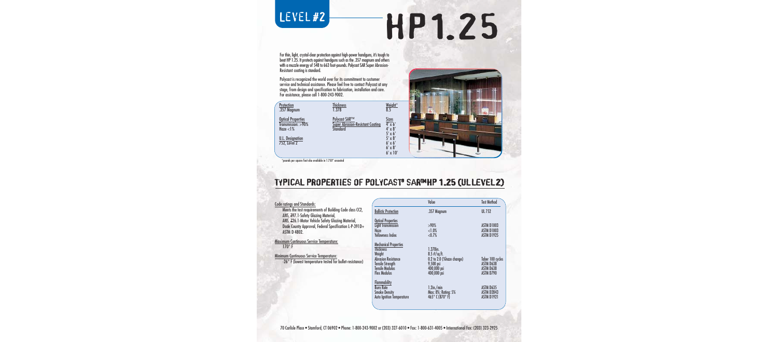# LEVEL#2

# HP1.25

For thin, light, crystal-clear protection against high-power handguns, it's tough to beat HP 1.25. It protects against handguns such as the .357 magnum and others with a muzzle energy of 548 to 663 foot-pounds. Polycast SAR Super Abrasion-Resistant coating is standard.

Polycast is recognized the world over for its commitment to customer service and technical assistance. Please feel free to contact Polycast at any stage, from design and specification to fabrication, installation and care. For assistance, please call 1-800-243-9002.

| <b>Protection</b><br>.357 Magnum                                   | <b>Thickness</b><br>1.378                                                          | Weight*<br>$\overline{8.5}$                                                   |
|--------------------------------------------------------------------|------------------------------------------------------------------------------------|-------------------------------------------------------------------------------|
| <b>Optical Properties</b><br>$Transmission: > 90\%$<br>Haze $<$ 1% | <b>Polycast SAR™</b><br><b>Super Abrasion-Resistant Coating</b><br><b>Standard</b> | <b>Sizes</b><br>$\overline{4' \times 6'}$<br>$4' \times 8'$<br>$5' \times 6'$ |
| U.L. Designation<br>752, Level 2                                   |                                                                                    | $5' \times 8'$<br>$6' \times 6'$<br>$6' \times 8'$<br>$6' \times 10'$         |



\*pounds per square foot also available in 1.750" uncoated

# TYPICAL PROPERTIES OF POLYCAST<sup>®</sup> SAR™HP 1.25 (UL LEVEL 2)

| <b>Code ratings and Standards:</b>                                                                                                        |                                                                                                                  | Value                                                                                  | <b>Test Method</b>                                                    |
|-------------------------------------------------------------------------------------------------------------------------------------------|------------------------------------------------------------------------------------------------------------------|----------------------------------------------------------------------------------------|-----------------------------------------------------------------------|
| Meets the test requirements of Building Code class CC2,<br>ANS, 297.1-Safety Glazing Material,                                            | <b>Ballistic Protection</b>                                                                                      | .357 Magnum                                                                            | <b>UL 752</b>                                                         |
| ANS, <i>226.1-Motor Vehicle Safety Glazing Material</i> ,<br>Dade County Approval, Federal Specification L-P-391D+<br><b>ASTM D 4802.</b> | <b>Optical Properties</b><br><b>Light Transmission</b><br>Haze<br><b>Yellowness Index</b>                        | $>90\%$<br><1.0%<br>< 0.7%                                                             | <b>ASTM D1003</b><br><b>ASTM D1003</b><br><b>ASTM D1925</b>           |
| <b>Maximum Continuous Service Temperature:</b><br>$170^\circ$ F                                                                           | <b>Mechanical Properties</b><br><b>Thickness</b>                                                                 | $1.378$ in.                                                                            |                                                                       |
| <b>Minimum Continuous Service Temperature:</b><br>-26° F (lowest temperature tested for bullet-resistance)                                | Weight<br><b>Abrasion Resistance</b><br><b>Tensile Strength</b><br><b>Tensile Modulus</b><br><b>Flex Modulus</b> | $8.5$ #/sq.ft.<br>0.2 to 2.0 (%haze change)<br>9,500 psi<br>400,000 psi<br>400,000 psi | Taber 100 cycles<br><b>ASTM D638</b><br><b>ASTM D638</b><br>ASTM D790 |
|                                                                                                                                           | <b>Flammability</b><br><b>Burn Rate</b><br><b>Smoke Density</b><br><b>Auto Ignition Temperature</b>              | $1.2$ in./min<br>Max: 8%; Rating: 5%<br>465 $^{\circ}$ C (870 $^{\circ}$ F)            | ASTM D635<br><b>ASTM D2843</b><br><b>ASTM D1921</b>                   |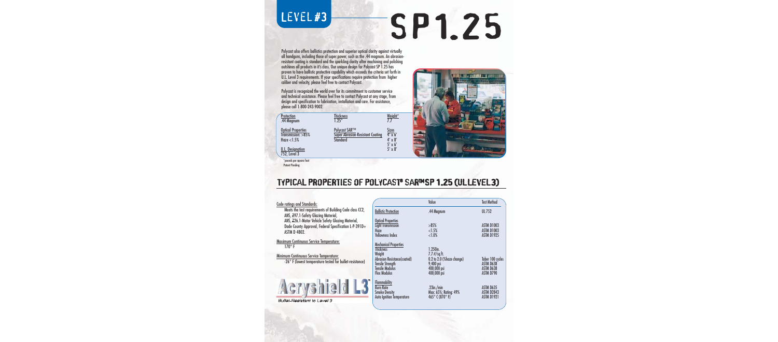# LEVEL#3

# SP1.25

Polycast also offers ballistics protection and superior optical clarity against virtually all handguns, including those of super power, such as the .44 magnum. An abrasionresistant coating is standard and the sparkling clarity after machining and polishing outshines all products in it's class. Our unique design for Polycast SP 1.25 has proven to have ballistic protective capability which exceeds the criteria set forth in U.L. Level 3 requirements. If your specifications require protection from higher caliber and velocity, please feel free to contact Polycast.

Polycast is recognized the world over for its commitment to customer service and technical assistance. Please feel free to contact Polycast at any stage, from design and specification to fabrication, installation and care. For assistance, please call 1-800-243-9002.

| <b>Protection</b><br>.44 Magnum                                                                                 | Thickness<br>1.25''                                                  | Weight*                                                                                         |
|-----------------------------------------------------------------------------------------------------------------|----------------------------------------------------------------------|-------------------------------------------------------------------------------------------------|
| <b>Optical Properties</b><br>Transmission: > 85%<br>Haze $<$ 1.5%<br><b>U.L. Designation</b><br>$752$ , Level 3 | Polycast SAR™<br><b>Super Abrasion-Resistant Coating</b><br>hınhant? | <b>Sizes</b><br>$\overline{4' \times 6'}$<br>$4' \times 8'$<br>$5' \times 6'$<br>$5' \times 8'$ |
| *pounds per square foot                                                                                         |                                                                      |                                                                                                 |



#### TYPICAL PROPERTIES OF POLYCAST<sup>®</sup> SAR™SP 1.25 (ULLEVEL3)

|                                                |                                                                                                                                                                       | Value                                                                                                  | <b>Test Method</b>                                             |
|------------------------------------------------|-----------------------------------------------------------------------------------------------------------------------------------------------------------------------|--------------------------------------------------------------------------------------------------------|----------------------------------------------------------------|
| Building Code class CC2,<br>erial,             | <b>Ballistic Protection</b>                                                                                                                                           | .44 Magnum                                                                                             | <b>UL 752</b>                                                  |
| y Glazing Material,<br>Specification L-P-391D+ | <b>Optical Properties</b><br><b>Light Transmission</b><br>Haze<br><b>Yellowness Index</b>                                                                             | >85%<br><1.5%<br><1.0%                                                                                 | <b>ASTM D1003</b><br><b>ASTM D1003</b><br><b>ASTM D1925</b>    |
| rature:<br>ature:<br>ed for bullet-resistance) | <b>Mechanical Properties</b><br><b>Thickness</b><br>Weight<br>Abrasion Resistance(coated)<br><b>Tensile Strength</b><br><b>Tensile Modulus</b><br><b>Flex Modulus</b> | 1.250in.<br>$7.7$ $\#$ /sq.ft.<br>0.2 to 2.0 (%haze change)<br>9,400 psi<br>400,000 psi<br>400,000 psi | Taber 100 cycles<br><b>ASTM D638</b><br>ASTM D638<br>ASTM D790 |
| 3                                              | <b>Flammability</b><br><b>Burn Rate</b><br><b>Smoke Density</b><br><b>Auto Ignition Temperature</b>                                                                   | $.23$ in./min<br>Max: 65%; Rating: 49%<br>465° C (870° F)                                              | <b>ASTM D635</b><br><b>ASTM D2843</b><br><b>ASTM D1921</b>     |

Code ratings and Standards:

Patent Pending

Meets the test requirements of ANS, 297.1-Safety Glazing Mate ANS, <del>Z</del>26.1-Motor Vehicle Safety Dade County Approval, Federal ASTM D 4802.

Maximum Continuous Service Temper 170° F

Minimum Continuous Service Temper

 $-26^\circ$  F (lowest temperature test



**Bullet-Resistant to Leve**